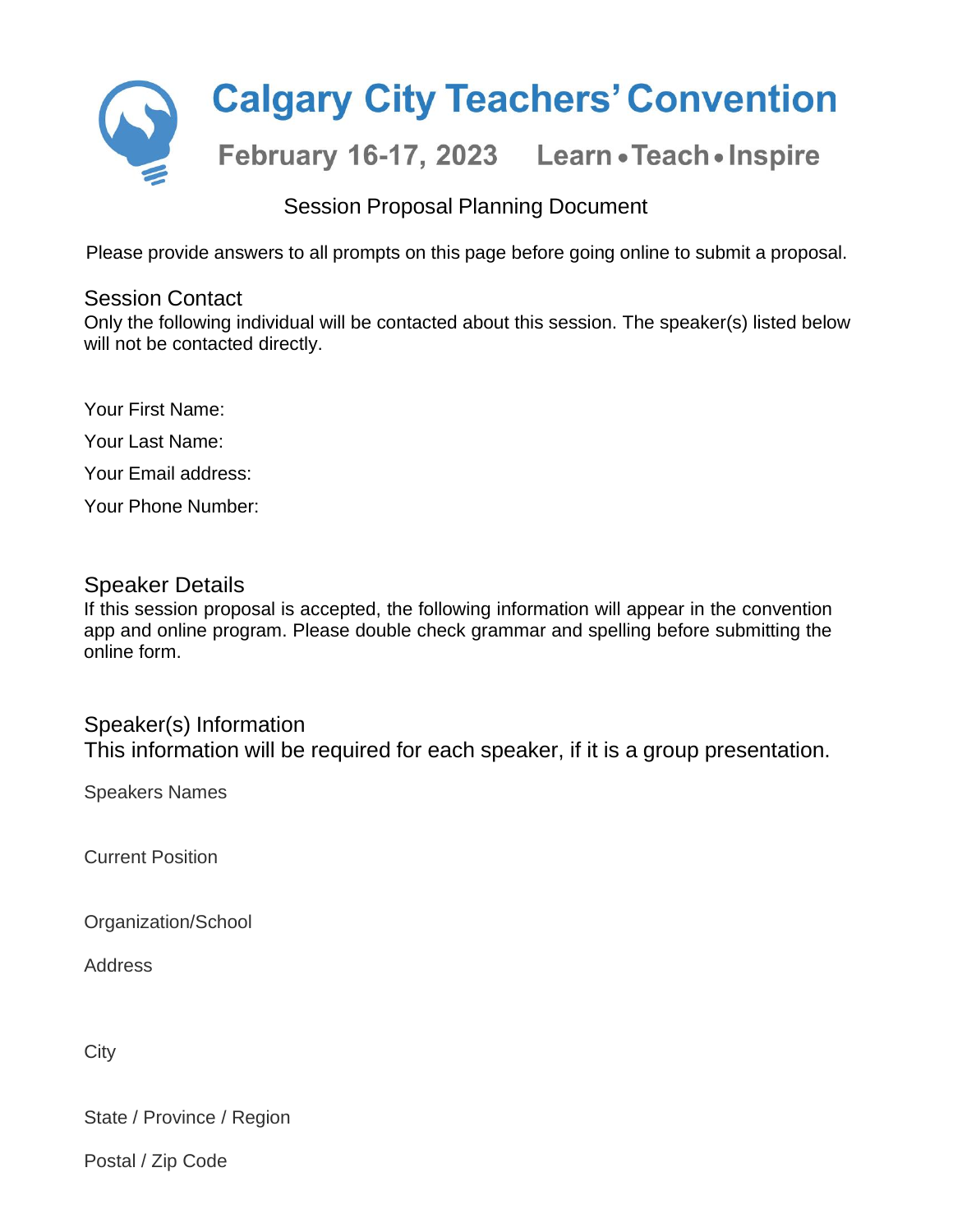

# Session Proposal Planning Document

Please provide answers to all prompts on this page before going online to submit a proposal.

# Session Contact

Only the following individual will be contacted about this session. The speaker(s) listed below will not be contacted directly.

Your First Name: Your Last Name:

Your Email address:

Your Phone Number:

# Speaker Details

If this session proposal is accepted, the following information will appear in the convention app and online program. Please double check grammar and spelling before submitting the online form.

# Speaker(s) Information

This information will be required for each speaker, if it is a group presentation.

Speakers Names

Current Position

Organization/School

Address

**City** 

State / Province / Region

Postal / Zip Code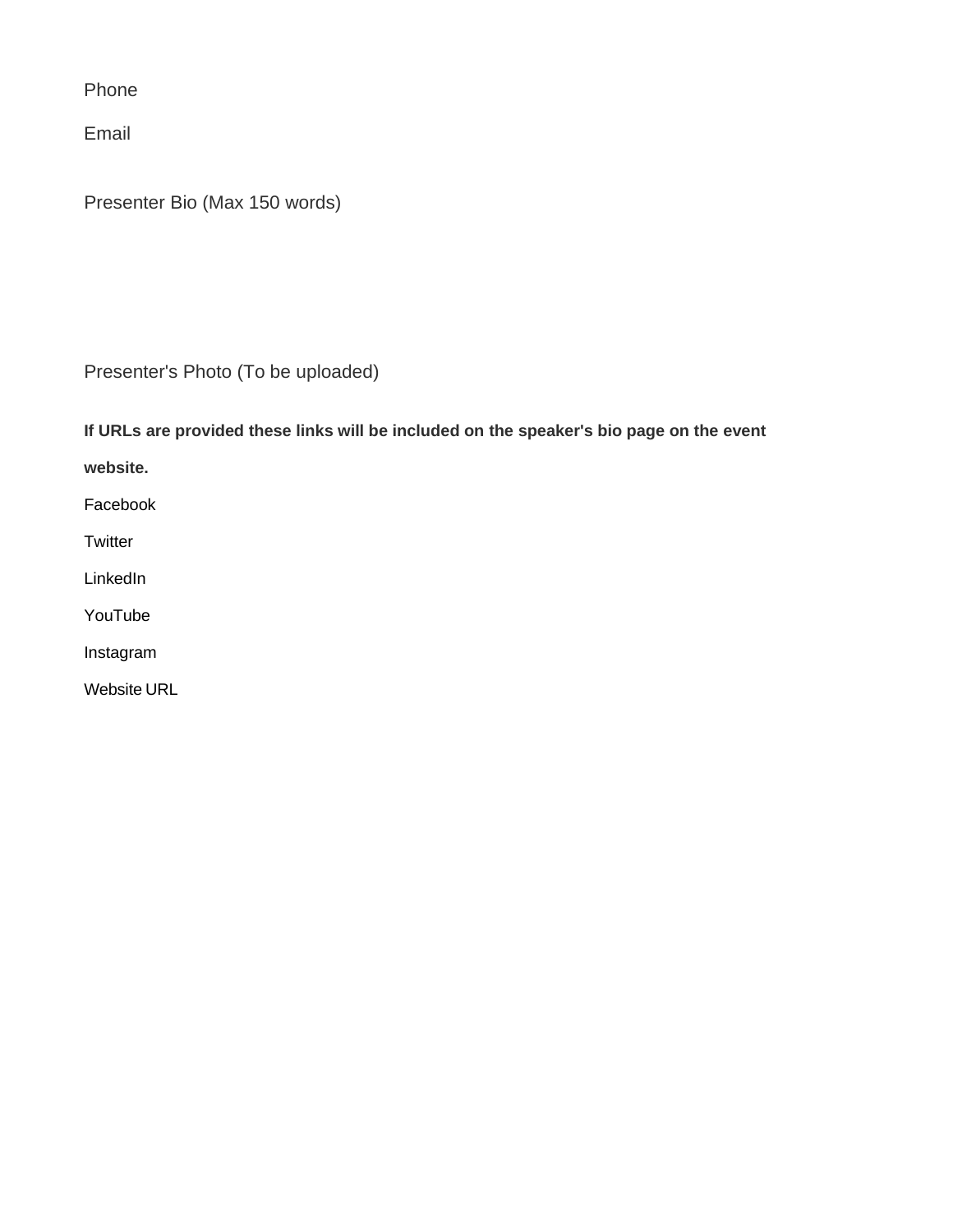Phone

Email

Presenter Bio (Max 150 words)

Presenter's Photo (To be uploaded)

**If URLs are provided these links will be included on the speaker's bio page on the event**

**website.**

Facebook

**Twitter** 

LinkedIn

YouTube

Instagram

Website URL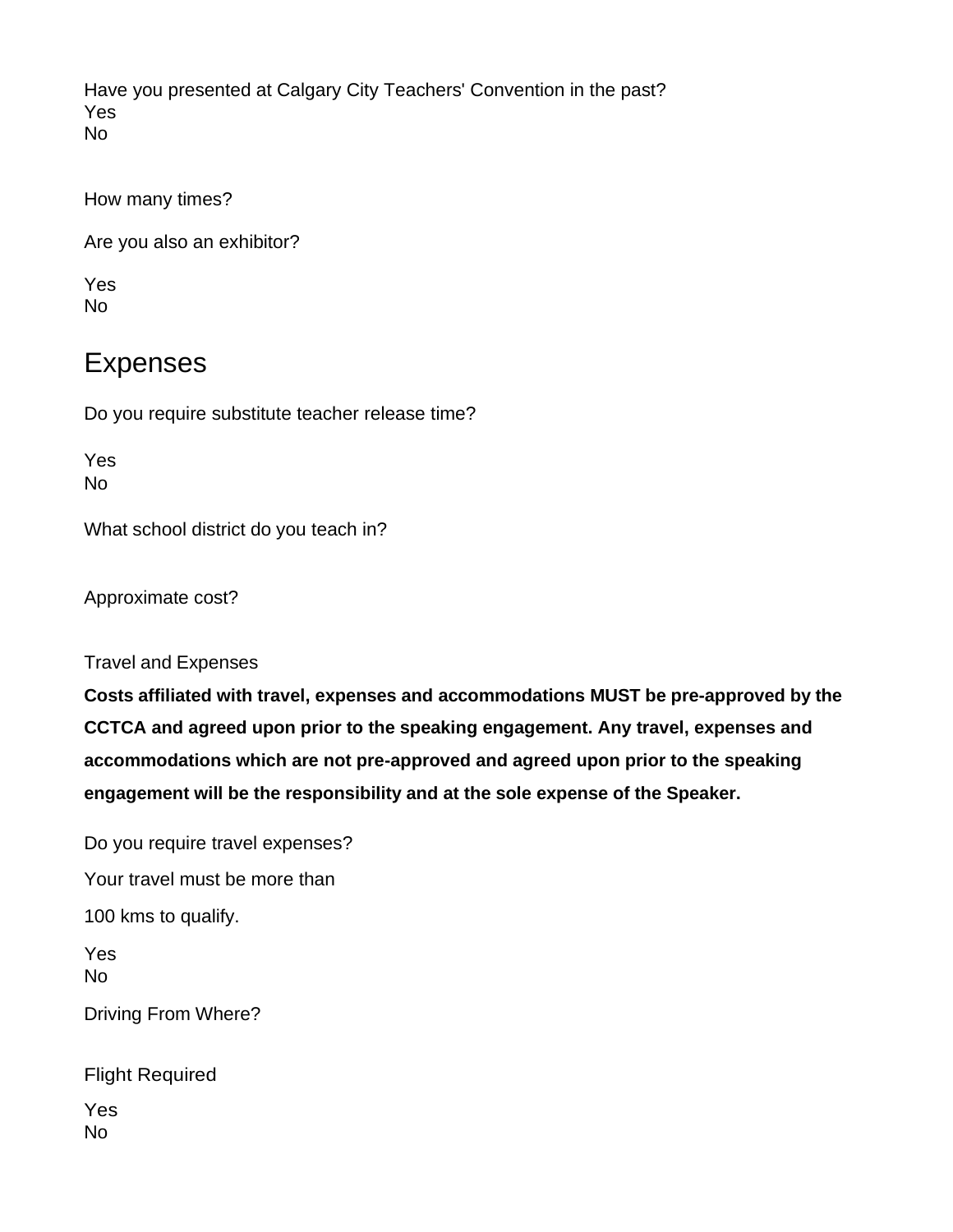Have you presented at Calgary City Teachers' Convention in the past? Yes No

How many times?

Are you also an exhibitor?

Yes No

# Expenses

Do you require substitute teacher release time?

Yes No

What school district do you teach in?

Approximate cost?

Travel and Expenses

**Costs affiliated with travel, expenses and accommodations MUST be pre-approved by the CCTCA and agreed upon prior to the speaking engagement. Any travel, expenses and accommodations which are not pre-approved and agreed upon prior to the speaking engagement will be the responsibility and at the sole expense of the Speaker.**

Do you require travel expenses? Your travel must be more than 100 kms to qualify. Yes No Driving From Where? Flight Required

Yes No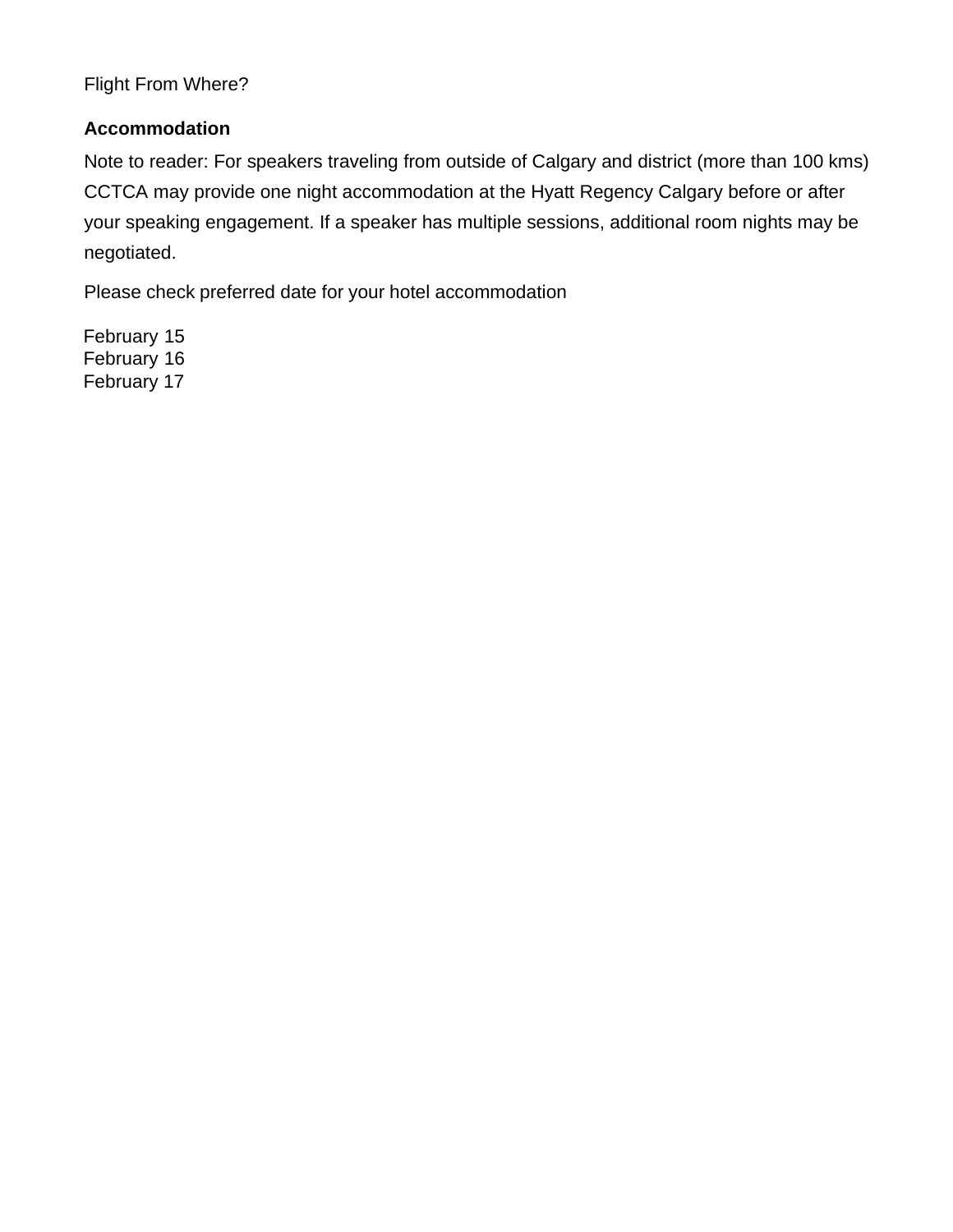Flight From Where?

## **Accommodation**

Note to reader: For speakers traveling from outside of Calgary and district (more than 100 kms) CCTCA may provide one night accommodation at the Hyatt Regency Calgary before or after your speaking engagement. If a speaker has multiple sessions, additional room nights may be negotiated.

Please check preferred date for your hotel accommodation

February 15 February 16 February 17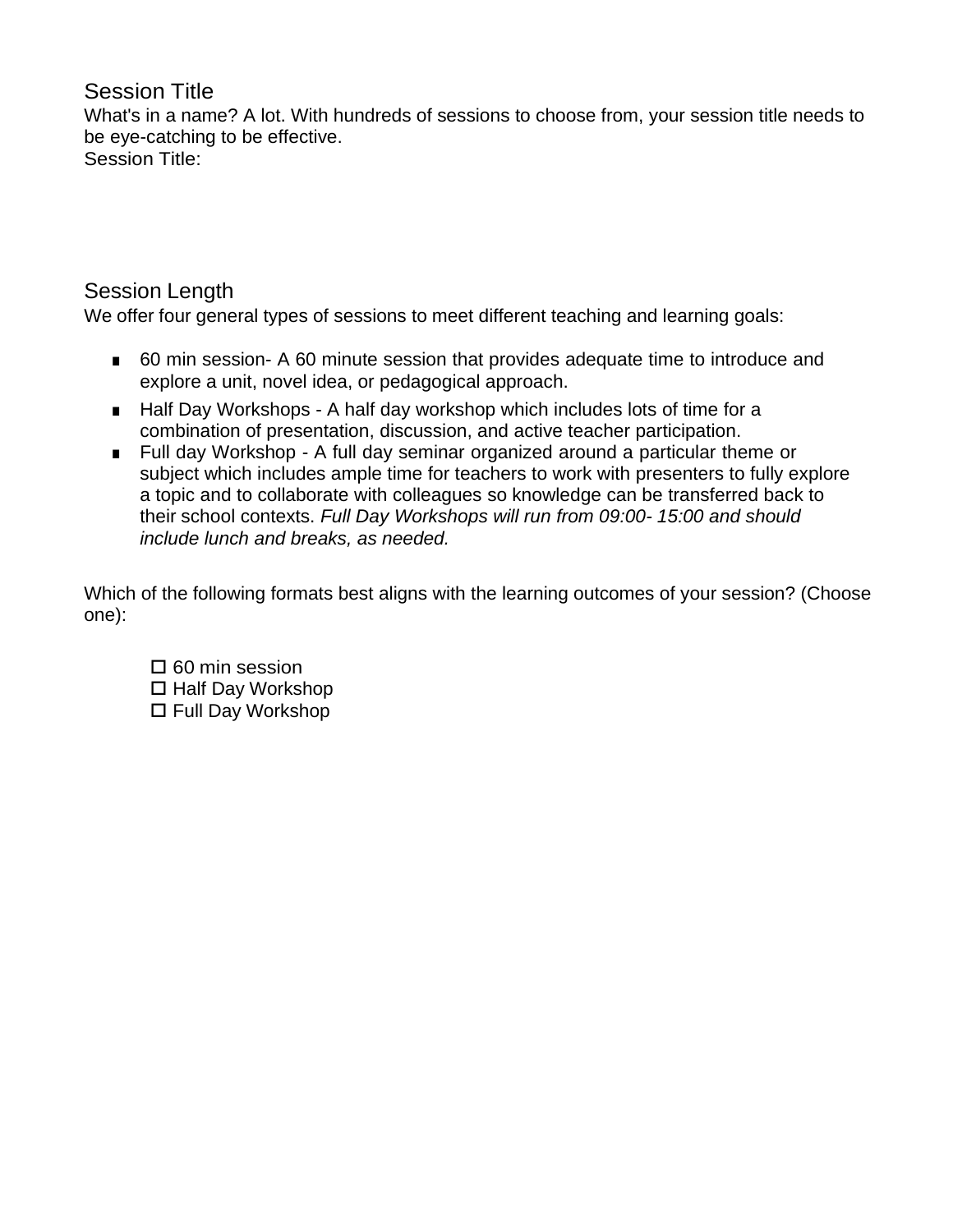# Session Title

What's in a name? A lot. With hundreds of sessions to choose from, your session title needs to be eye-catching to be effective. Session Title:

# Session Length

We offer four general types of sessions to meet different teaching and learning goals:

- 60 min session- A 60 minute session that provides adequate time to introduce and explore a unit, novel idea, or pedagogical approach.
- Half Day Workshops A half day workshop which includes lots of time for a combination of presentation, discussion, and active teacher participation.
- Full day Workshop A full day seminar organized around a particular theme or subject which includes ample time for teachers to work with presenters to fully explore a topic and to collaborate with colleagues so knowledge can be transferred back to their school contexts. *Full Day Workshops will run from 09:00- 15:00 and should include lunch and breaks, as needed.*

Which of the following formats best aligns with the learning outcomes of your session? (Choose one):

 $\square$  60 min session  $\Box$  Half Day Workshop □ Full Day Workshop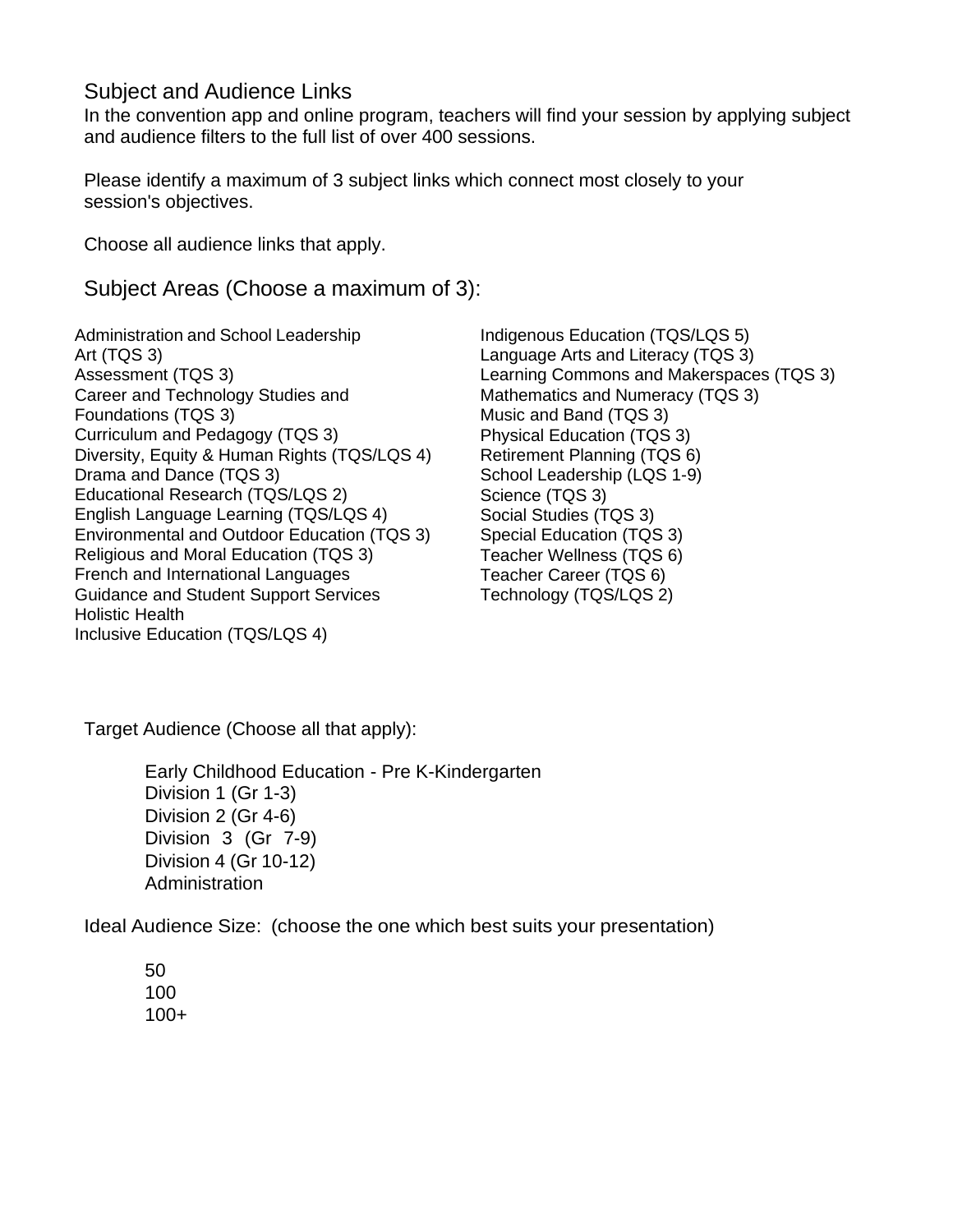# Subject and Audience Links

In the convention app and online program, teachers will find your session by applying subject and audience filters to the full list of over 400 sessions.

Please identify a maximum of 3 subject links which connect most closely to your session's objectives.

Choose all audience links that apply.

# Subject Areas (Choose a maximum of 3):

Administration and School Leadership Art (TQS 3) Assessment (TQS 3) Career and Technology Studies and Foundations (TQS 3) Curriculum and Pedagogy (TQS 3) Diversity, Equity & Human Rights (TQS/LQS 4) Drama and Dance (TQS 3) Educational Research (TQS/LQS 2) English Language Learning (TQS/LQS 4) Environmental and Outdoor Education (TQS 3) Religious and Moral Education (TQS 3) French and International Languages Guidance and Student Support Services Holistic Health Inclusive Education (TQS/LQS 4)

Indigenous Education (TQS/LQS 5) Language Arts and Literacy (TQS 3) Learning Commons and Makerspaces (TQS 3) Mathematics and Numeracy (TQS 3) Music and Band (TQS 3) Physical Education (TQS 3) Retirement Planning (TQS 6) School Leadership (LQS 1-9) Science (TQS 3) Social Studies (TQS 3) Special Education (TQS 3) Teacher Wellness (TQS 6) Teacher Career (TQS 6) Technology (TQS/LQS 2)

Target Audience (Choose all that apply):

Early Childhood Education - Pre K-Kindergarten Division 1 (Gr 1-3) Division 2 (Gr 4-6) Division 3 (Gr 7-9) Division 4 (Gr 10-12) Administration

Ideal Audience Size: (choose the one which best suits your presentation)

50 100 100+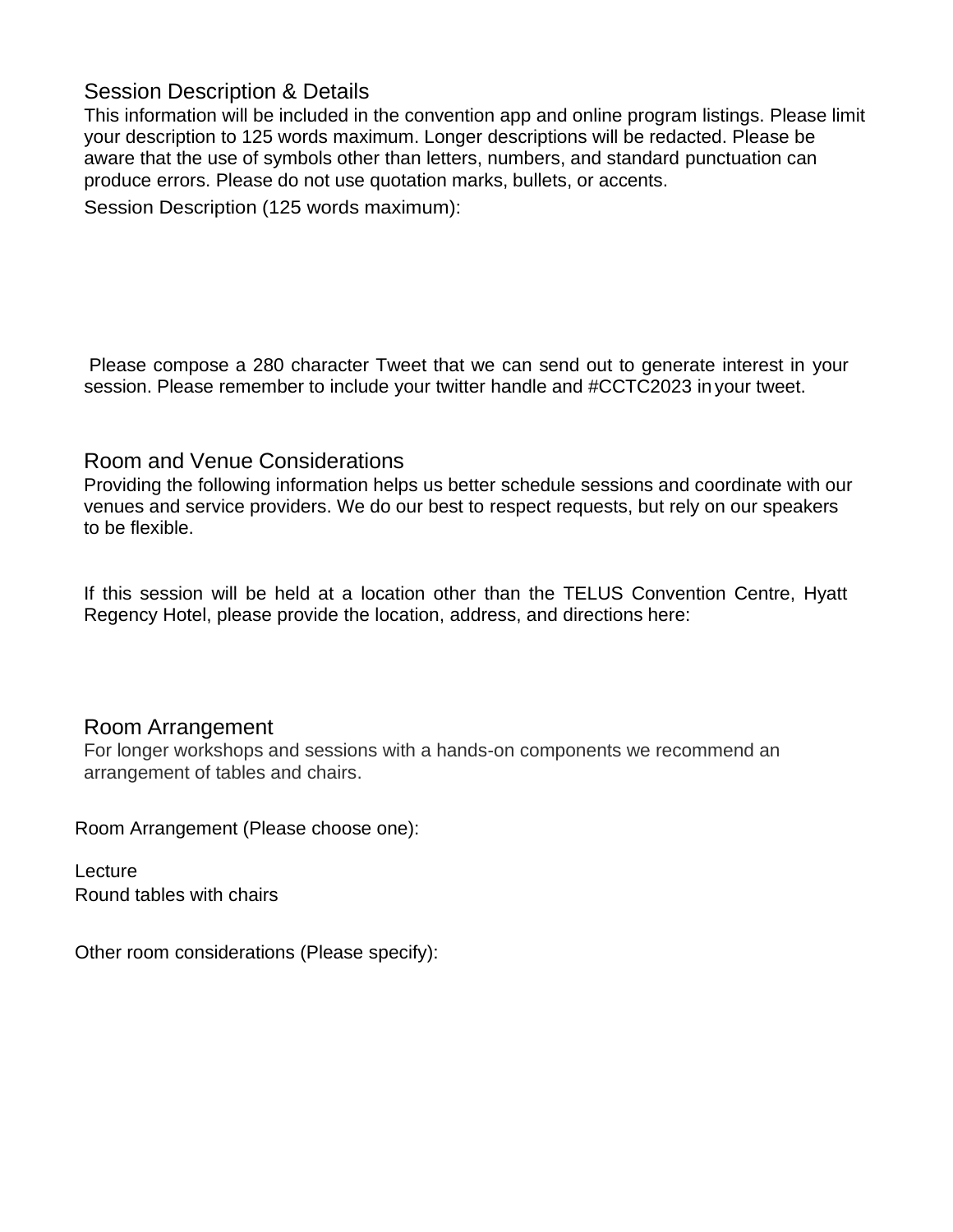# Session Description & Details

This information will be included in the convention app and online program listings. Please limit your description to 125 words maximum. Longer descriptions will be redacted. Please be aware that the use of symbols other than letters, numbers, and standard punctuation can produce errors. Please do not use quotation marks, bullets, or accents.

Session Description (125 words maximum):

Please compose a 280 character Tweet that we can send out to generate interest in your session. Please remember to include your twitter handle and #CCTC2023 in your tweet.

## Room and Venue Considerations

Providing the following information helps us better schedule sessions and coordinate with our venues and service providers. We do our best to respect requests, but rely on our speakers to be flexible.

If this session will be held at a location other than the TELUS Convention Centre, Hyatt Regency Hotel, please provide the location, address, and directions here:

## Room Arrangement

For longer workshops and sessions with a hands-on components we recommend an arrangement of tables and chairs.

Room Arrangement (Please choose one):

**Lecture** Round tables with chairs

Other room considerations (Please specify):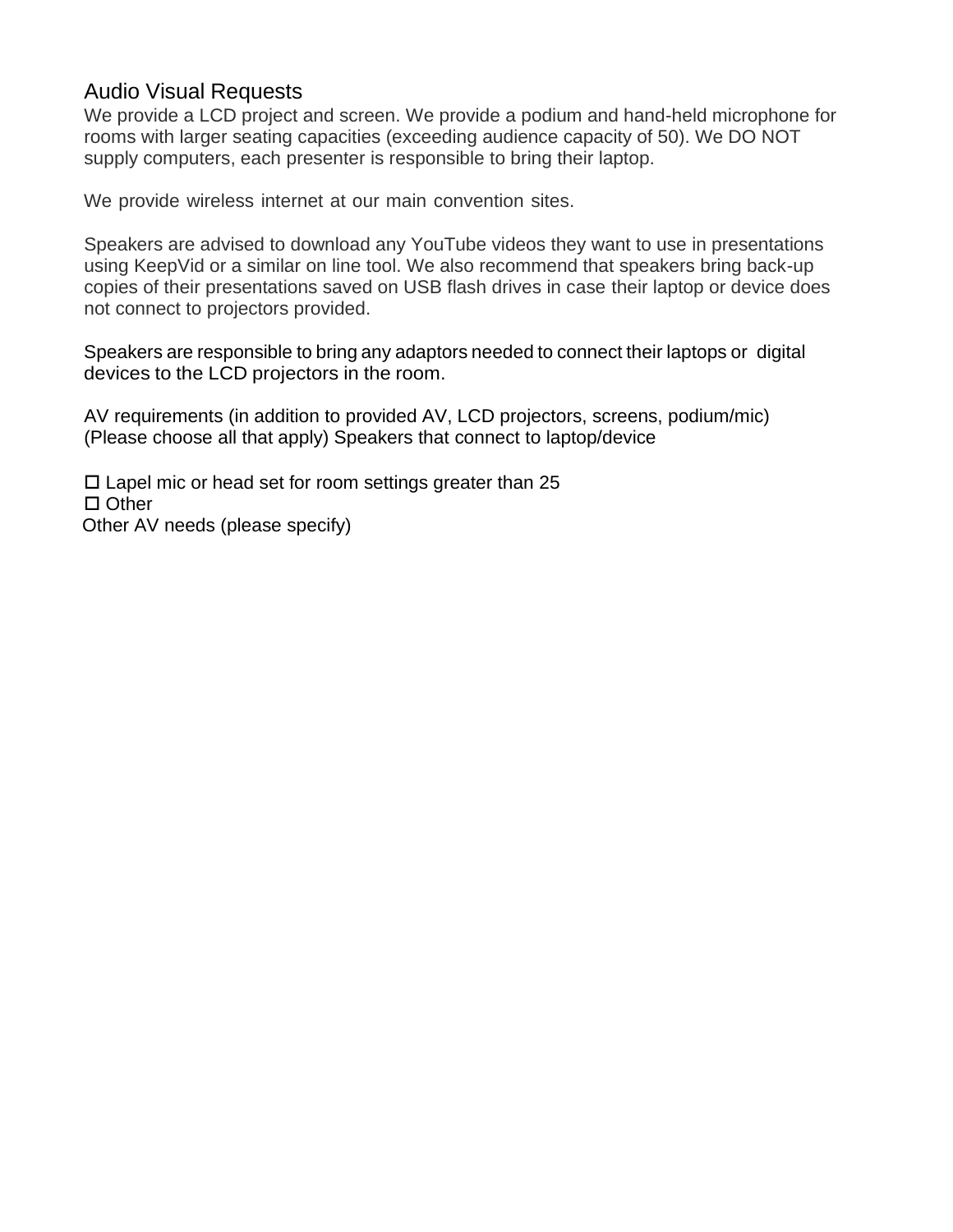# Audio Visual Requests

We provide a LCD project and screen. We provide a podium and hand-held microphone for rooms with larger seating capacities (exceeding audience capacity of 50). We DO NOT supply computers, each presenter is responsible to bring their laptop.

We provide wireless internet at our main convention sites.

Speakers are advised to download any YouTube videos they want to use in presentations using KeepVid or a similar on line tool. We also recommend that speakers bring back-up copies of their presentations saved on USB flash drives in case their laptop or device does not connect to projectors provided.

Speakers are responsible to bring any adaptors needed to connect their laptops or digital devices to the LCD projectors in the room.

AV requirements (in addition to provided AV, LCD projectors, screens, podium/mic) (Please choose all that apply) Speakers that connect to laptop/device

 $\Box$  Lapel mic or head set for room settings greater than 25  $\Box$  Other Other AV needs (please specify)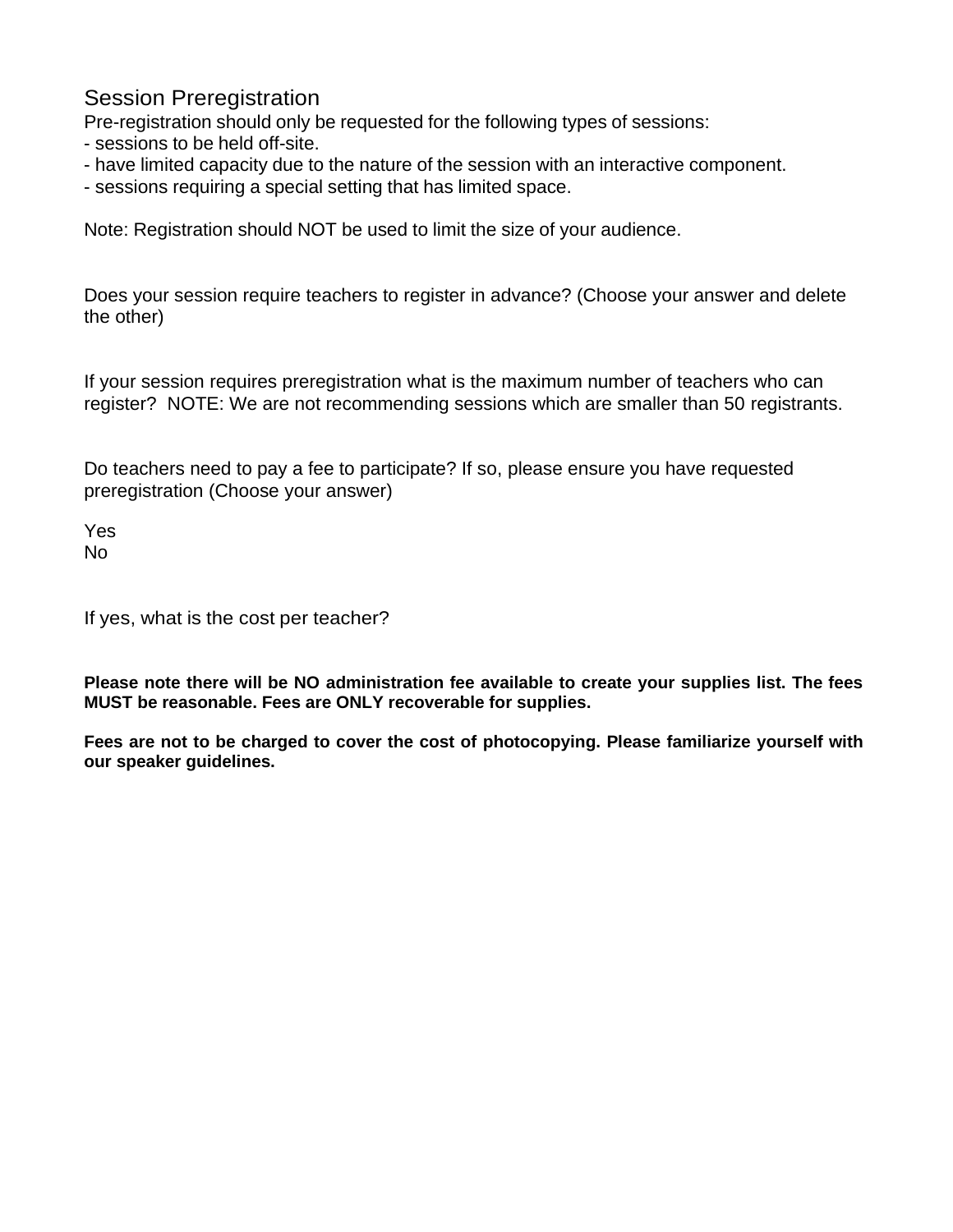# Session Preregistration

Pre-registration should only be requested for the following types of sessions:

- sessions to be held off-site.
- have limited capacity due to the nature of the session with an interactive component.
- sessions requiring a special setting that has limited space.

Note: Registration should NOT be used to limit the size of your audience.

Does your session require teachers to register in advance? (Choose your answer and delete the other)

If your session requires preregistration what is the maximum number of teachers who can register? NOTE: We are not recommending sessions which are smaller than 50 registrants.

Do teachers need to pay a fee to participate? If so, please ensure you have requested preregistration (Choose your answer)

Yes No

If yes, what is the cost per teacher?

**Please note there will be NO administration fee available to create your supplies list. The fees MUST be reasonable. Fees are ONLY recoverable for supplies.**

**Fees are not to be charged to cover the cost of photocopying. Please familiarize yourself with our speaker guidelines.**